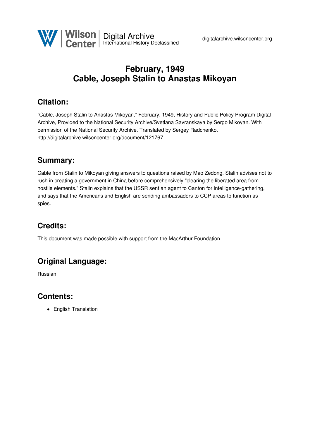

# **February, 1949 Cable, Joseph Stalin to Anastas Mikoyan**

# **Citation:**

"Cable, Joseph Stalin to Anastas Mikoyan," February, 1949, History and Public Policy Program Digital Archive, Provided to the National Security Archive/Svetlana Savranskaya by Sergo Mikoyan. With permission of the National Security Archive. Translated by Sergey Radchenko. <http://digitalarchive.wilsoncenter.org/document/121767>

### **Summary:**

Cable from Stalin to Mikoyan giving answers to questions raised by Mao Zedong. Stalin advises not to rush in creating a government in China before comprehensively "clearing the liberated area from hostile elements." Stalin explains that the USSR sent an agent to Canton for intelligence-gathering, and says that the Americans and English are sending ambassadors to CCP areas to function as spies.

# **Credits:**

This document was made possible with support from the MacArthur Foundation.

## **Original Language:**

Russian

### **Contents:**

• English Translation